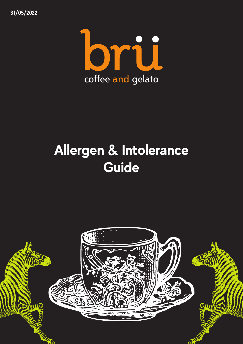**31/05/2022**



## **Allergen & Intolerance Guide**





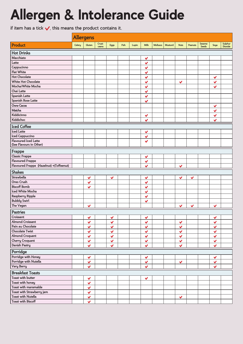## Allergen & Intolerance Guide

if item has a tick  $\sqrt{ }$ , this means the product contains it.

|                                                        | <b>Allergens</b> |              |                 |              |      |       |                              |                 |         |              |              |                        |                         |                    |
|--------------------------------------------------------|------------------|--------------|-----------------|--------------|------|-------|------------------------------|-----------------|---------|--------------|--------------|------------------------|-------------------------|--------------------|
| Product                                                | Celery           | Gluten       | Crust-<br>ceans | <b>Eggs</b>  | Fish | Lupin | Milk                         | <b>Molluscs</b> | Musturd | <b>Nuts</b>  | Peanuts      | Sesame<br><b>Seeds</b> | Soya                    | Sulphur<br>Dioxide |
| <b>Hot Drinks</b>                                      |                  |              |                 |              |      |       |                              |                 |         |              |              |                        |                         |                    |
| Macchiato                                              |                  |              |                 |              |      |       | $\checkmark$                 |                 |         |              |              |                        |                         |                    |
| Latte                                                  |                  |              |                 |              |      |       | $\checkmark$                 |                 |         |              |              |                        |                         |                    |
| Cappucinno                                             |                  |              |                 |              |      |       | $\checkmark$                 |                 |         |              |              |                        |                         |                    |
| <b>Flat White</b>                                      |                  |              |                 |              |      |       | $\checkmark$                 |                 |         |              |              |                        |                         |                    |
| <b>Hot Chocolate</b>                                   |                  |              |                 |              |      |       | $\checkmark$                 |                 |         |              |              |                        | $\checkmark$            |                    |
| <b>White Hot Chocolate</b>                             |                  |              |                 |              |      |       | $\checkmark$                 |                 |         | $\checkmark$ |              |                        | $\checkmark$            |                    |
| Mocha/White Mocha                                      |                  |              |                 |              |      |       | $\checkmark$                 |                 |         |              |              |                        | $\checkmark$            |                    |
| Chai Latte                                             |                  |              |                 |              |      |       | $\checkmark$                 |                 |         |              |              |                        |                         |                    |
| <b>Spanish Latte</b>                                   |                  |              |                 |              |      |       | $\checkmark$                 |                 |         |              |              |                        |                         |                    |
| <b>Spanish Rose Latte</b>                              |                  |              |                 |              |      |       | $\checkmark$                 |                 |         |              |              |                        |                         |                    |
| Oww Cacoa                                              |                  |              |                 |              |      |       |                              |                 |         |              |              |                        | $\checkmark$            |                    |
| Matcha                                                 |                  |              |                 |              |      |       |                              |                 |         |              |              |                        | $\checkmark$            |                    |
| Kiddicinno                                             |                  |              |                 |              |      |       | $\checkmark$                 |                 |         |              |              |                        | $\checkmark$            |                    |
| Kiddichoc                                              |                  |              |                 |              |      |       | $\checkmark$                 |                 |         |              |              |                        | $\overline{\mathbf{v}}$ |                    |
| <b>Iced Coffee</b>                                     |                  |              |                 |              |      |       |                              |                 |         |              |              |                        |                         |                    |
| <b>Iced Latte</b>                                      |                  |              |                 |              |      |       | $\checkmark$                 |                 |         |              |              |                        |                         |                    |
| <b>Iced Cappuccino</b>                                 |                  |              |                 |              |      |       | $\checkmark$                 |                 |         |              |              |                        |                         |                    |
| <b>Flavoured Iced Latte</b><br>(See Flavours in Other) |                  |              |                 |              |      |       | $\checkmark$                 |                 |         |              |              |                        |                         |                    |
| Frappe                                                 |                  |              |                 |              |      |       |                              |                 |         |              |              |                        |                         |                    |
| <b>Classic Frappe</b>                                  |                  |              |                 |              |      |       | $\checkmark$                 |                 |         |              |              |                        |                         |                    |
| <b>Flavoured Frappe</b>                                |                  |              |                 |              |      |       | $\checkmark$                 |                 |         |              |              |                        |                         |                    |
| Flavoured Frappe (Hazelnut) +(Toffeenut)               |                  |              |                 |              |      |       | $\checkmark$                 |                 |         | $\checkmark$ |              |                        |                         |                    |
| <b>Shakes</b>                                          |                  |              |                 |              |      |       |                              |                 |         |              |              |                        |                         |                    |
| <b>Strawbella</b>                                      |                  |              |                 |              |      |       |                              |                 |         |              |              |                        |                         |                    |
| Oreo Crush                                             |                  | $\checkmark$ |                 | $\checkmark$ |      |       | $\checkmark$                 |                 |         | $\checkmark$ | $\checkmark$ |                        |                         |                    |
| <b>Biscoff Bomb</b>                                    |                  | $\checkmark$ |                 |              |      |       | $\checkmark$                 |                 |         |              |              |                        |                         |                    |
| <b>Iced White Mocha</b>                                |                  | $\checkmark$ |                 |              |      |       | $\checkmark$                 |                 |         |              |              |                        |                         |                    |
| Raspberry Ripple                                       |                  |              |                 |              |      |       | $\checkmark$                 |                 |         |              |              |                        |                         |                    |
| <b>Bubbly Swirl</b>                                    |                  |              |                 |              |      |       | $\checkmark$<br>$\checkmark$ |                 |         |              |              |                        |                         |                    |
| The Vegan                                              |                  | $\checkmark$ |                 |              |      |       |                              |                 |         | $\checkmark$ | $\checkmark$ |                        | $\checkmark$            |                    |
|                                                        |                  |              |                 |              |      |       |                              |                 |         |              |              |                        |                         |                    |
| Pastries                                               |                  |              |                 |              |      |       |                              |                 |         |              |              |                        |                         |                    |
| Croissant                                              |                  | $\checkmark$ |                 | $\checkmark$ |      |       | $\checkmark$                 |                 |         |              |              |                        | $\checkmark$            |                    |
| <b>Almond Croissant</b>                                |                  | $\checkmark$ |                 | $\checkmark$ |      |       | $\checkmark$                 |                 |         | $\checkmark$ |              |                        | $\checkmark$            |                    |
| Pain au Chocolate                                      |                  | $\checkmark$ |                 | $\checkmark$ |      |       | $\checkmark$                 |                 |         | $\checkmark$ |              |                        | $\checkmark$            |                    |
| <b>Chocolate Twist</b>                                 |                  | $\checkmark$ |                 | $\checkmark$ |      |       | $\checkmark$                 |                 |         | $\checkmark$ |              |                        | $\checkmark$            |                    |
| <b>Almond Croquant</b>                                 |                  | $\checkmark$ |                 | $\checkmark$ |      |       | $\checkmark$                 |                 |         | $\checkmark$ |              |                        | $\checkmark$            |                    |
| <b>Cherry Croquant</b>                                 |                  | $\checkmark$ |                 | $\checkmark$ |      |       | $\checkmark$                 |                 |         | $\checkmark$ |              |                        | $\checkmark$            |                    |
| <b>Danish Pastry</b>                                   |                  | $\checkmark$ |                 | $\checkmark$ |      |       | $\checkmark$                 |                 |         | $\checkmark$ |              |                        | $\checkmark$            |                    |
| Porridge                                               |                  |              |                 |              |      |       |                              |                 |         |              |              |                        |                         |                    |
| Porridge with Honey<br>$P_1$ (1) (1) $M_1 + 1$         |                  | $\checkmark$ |                 |              |      |       | $\checkmark$                 |                 |         |              |              |                        | $\checkmark$            |                    |

| Porridge with Nutella     | J         |  |  |  |           |  |  |  |  |  |  |  |  |  |
|---------------------------|-----------|--|--|--|-----------|--|--|--|--|--|--|--|--|--|
| <b>Very Berry</b>         | $\cdot$   |  |  |  |           |  |  |  |  |  |  |  |  |  |
| <b>Breakfast Toasts</b>   |           |  |  |  |           |  |  |  |  |  |  |  |  |  |
| Toast with butter         | 67        |  |  |  | $\bullet$ |  |  |  |  |  |  |  |  |  |
| Toast with honey          | ٠Z        |  |  |  |           |  |  |  |  |  |  |  |  |  |
| Toast with maramalde      | $\bullet$ |  |  |  |           |  |  |  |  |  |  |  |  |  |
| Toast with Strawberry jam | ٠.        |  |  |  |           |  |  |  |  |  |  |  |  |  |
| <b>Toast with Nutella</b> | ٠.        |  |  |  |           |  |  |  |  |  |  |  |  |  |
| <b>Toast with Biscoff</b> | ٠.        |  |  |  |           |  |  |  |  |  |  |  |  |  |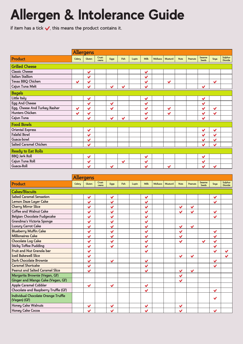|                               | <b>Allergens</b> |              |                 |              |              |       |              |                 |              |             |         |                        |              |                    |
|-------------------------------|------------------|--------------|-----------------|--------------|--------------|-------|--------------|-----------------|--------------|-------------|---------|------------------------|--------------|--------------------|
| Product                       | Celery           | Gluten       | Crust-<br>ceans | Eggs         | Fish         | Lupin | Milk         | <b>Molluscs</b> | Musturd      | <b>Nuts</b> | Peanuts | Sesame<br><b>Seeds</b> | Soya         | Sulphur<br>Dioxide |
| <b>Grilled Cheese</b>         |                  |              |                 |              |              |       |              |                 |              |             |         |                        |              |                    |
| <b>Classic Cheese</b>         |                  | $\checkmark$ |                 |              |              |       | $\checkmark$ |                 |              |             |         |                        |              |                    |
| <b>Italian Stallion</b>       |                  | $\checkmark$ |                 |              |              |       | $\checkmark$ |                 |              |             |         |                        |              |                    |
| Texas BBQ Chicken             | $\checkmark$     | $\checkmark$ |                 |              |              |       | $\checkmark$ |                 | $\checkmark$ |             |         |                        | $\checkmark$ |                    |
| Cajun Tuna Melt               |                  | $\checkmark$ |                 | $\checkmark$ | $\checkmark$ |       | $\checkmark$ |                 |              |             |         | $\checkmark$           |              |                    |
| <b>Bagels</b>                 |                  |              |                 |              |              |       |              |                 |              |             |         |                        |              |                    |
| Little Italy                  |                  | $\checkmark$ |                 |              |              |       | $\checkmark$ |                 |              |             |         | $\checkmark$           |              |                    |
| <b>Egg And Cheese</b>         |                  | $\checkmark$ |                 | $\checkmark$ |              |       | $\checkmark$ |                 |              |             |         | $\checkmark$           |              |                    |
| Egg, Cheese And Turkey Rasher | $\checkmark$     | $\checkmark$ |                 | $\checkmark$ |              |       | $\checkmark$ |                 | $\checkmark$ |             |         | $\checkmark$           | $\checkmark$ |                    |
| <b>Hunters Chicken</b>        | $\checkmark$     | $\checkmark$ |                 |              |              |       | $\checkmark$ |                 | $\checkmark$ |             |         | $\checkmark$           | $\checkmark$ |                    |
| Cajun Tuna                    |                  | $\checkmark$ |                 | $\checkmark$ | $\checkmark$ |       | $\checkmark$ |                 |              |             |         | $\checkmark$           |              |                    |
| <b>Food Bowls</b>             |                  |              |                 |              |              |       |              |                 |              |             |         |                        |              |                    |
| <b>Oriental Express</b>       |                  | $\checkmark$ |                 |              |              |       |              |                 |              |             |         | $\checkmark$           | $\checkmark$ |                    |
| <b>Falafal Bowl</b>           |                  | $\checkmark$ |                 |              |              |       |              |                 |              |             |         | $\checkmark$           | $\checkmark$ |                    |
| Guaca-bowl                    |                  | $\checkmark$ |                 |              |              |       |              |                 |              |             |         | $\checkmark$           | $\checkmark$ |                    |
| <b>Salted Caramel Chicken</b> |                  | $\checkmark$ |                 |              |              |       |              |                 |              |             |         | $\checkmark$           | $\checkmark$ |                    |
| <b>Ready to Eat Rolls</b>     |                  |              |                 |              |              |       |              |                 |              |             |         |                        |              |                    |
| <b>BBQ</b> Jerk Roll          |                  | $\checkmark$ |                 |              |              |       | $\checkmark$ |                 |              |             |         | $\checkmark$           |              |                    |
| Cajun Tuna Roll               |                  | $\checkmark$ |                 |              | $\checkmark$ |       | $\checkmark$ |                 |              |             |         | $\checkmark$           |              |                    |
| Guaca-Roll                    |                  | $\checkmark$ |                 | $\checkmark$ |              |       | $\checkmark$ |                 | $\checkmark$ |             |         | $\checkmark$           | $\checkmark$ |                    |

## **Allergen & Intolerance Guide**

If item has a tick  $\sqrt{}$ , this means the product contains it.

|                                                            | <b>Allergens</b> |              |                 |              |      |       |              |                 |         |              |                |                               |              |                    |
|------------------------------------------------------------|------------------|--------------|-----------------|--------------|------|-------|--------------|-----------------|---------|--------------|----------------|-------------------------------|--------------|--------------------|
| Product                                                    | Celery           | Gluten       | Crust-<br>ceans | <b>Eggs</b>  | Fish | Lupin | Milk         | <b>Molluscs</b> | Musturd | <b>Nuts</b>  | <b>Peanuts</b> | <b>Sesame</b><br><b>Seeds</b> | Soya         | Sulphur<br>Dioxide |
| <b>Cakes/Biscuits</b>                                      |                  |              |                 |              |      |       |              |                 |         |              |                |                               |              |                    |
| <b>Salted Caramel Sensation</b>                            |                  | $\checkmark$ |                 | $\checkmark$ |      |       | $\checkmark$ |                 |         |              |                |                               | $\checkmark$ |                    |
| Lemon Daze Layer Cake                                      |                  | $\checkmark$ |                 | $\checkmark$ |      |       | $\checkmark$ |                 |         |              |                |                               | $\checkmark$ |                    |
| <b>Cherry Mirror Slice</b>                                 |                  | $\checkmark$ |                 | $\checkmark$ |      |       | $\checkmark$ |                 |         | $\checkmark$ | $\checkmark$   |                               |              |                    |
| <b>Coffee and Walnut Cake</b>                              |                  | $\checkmark$ |                 | $\checkmark$ |      |       | $\checkmark$ |                 |         | $\vee$       | $\checkmark$   |                               | $\checkmark$ |                    |
| <b>Belgian Chocolate Fudgecake</b>                         |                  | $\checkmark$ |                 | $\checkmark$ |      |       | $\checkmark$ |                 |         |              |                |                               | $\checkmark$ |                    |
| Grandma's Victoria Sponge                                  |                  | $\checkmark$ |                 | $\checkmark$ |      |       | $\checkmark$ |                 |         |              |                |                               |              |                    |
| <b>Luxury Carrot Cake</b>                                  |                  | $\checkmark$ |                 | $\checkmark$ |      |       | $\checkmark$ |                 |         | $\checkmark$ | $\checkmark$   |                               |              |                    |
| <b>Blueberry Muffin Cake</b>                               |                  | $\checkmark$ |                 | $\checkmark$ |      |       | $\checkmark$ |                 |         | $\checkmark$ |                |                               | $\checkmark$ |                    |
| <b>Millionaires Cake</b>                                   |                  | $\checkmark$ |                 | $\checkmark$ |      |       | $\checkmark$ |                 |         | $\checkmark$ |                |                               | $\checkmark$ |                    |
| <b>Chocolate Log Cake</b>                                  |                  | $\checkmark$ |                 | $\checkmark$ |      |       | $\checkmark$ |                 |         | $\checkmark$ |                | $\checkmark$                  | $\checkmark$ |                    |
| <b>Sticky Toffee Pudding</b>                               |                  | $\checkmark$ |                 | $\vee$       |      |       | $\checkmark$ |                 |         |              |                |                               | $\checkmark$ |                    |
| Fruit and Nut Granola bar                                  |                  | $\checkmark$ |                 |              |      |       | $\checkmark$ |                 |         |              |                |                               | $\checkmark$ | $\checkmark$       |
| <b>Iced Bakewell Slice</b>                                 |                  | $\checkmark$ |                 |              |      |       |              |                 |         | $\checkmark$ | $\checkmark$   |                               |              | $\checkmark$       |
| Dark Chocolate Brownie                                     |                  | $\checkmark$ |                 | $\checkmark$ |      |       | $\checkmark$ |                 |         |              |                |                               | $\checkmark$ |                    |
| <b>Caramel Shortcake</b>                                   |                  | $\checkmark$ |                 |              |      |       | $\checkmark$ |                 |         |              |                |                               | $\checkmark$ |                    |
| <b>Peanut and Salted Caramel Slice</b>                     |                  | $\checkmark$ |                 |              |      |       | $\checkmark$ |                 |         | $\checkmark$ | $\checkmark$   |                               |              |                    |
| Margarita Brownie (Vegan, GF)                              |                  |              |                 |              |      |       |              |                 |         | $\checkmark$ |                |                               |              |                    |
| Ginger and Mango Cake (Vegan, GF)                          |                  |              |                 |              |      |       |              |                 |         | $\checkmark$ |                |                               |              |                    |
| <b>Apple Caramel Cobbler</b>                               |                  | $\checkmark$ |                 | $\checkmark$ |      |       | $\checkmark$ |                 |         |              |                |                               |              |                    |
| Chocolate and Raspberry Truffle (GF)                       |                  |              |                 |              |      |       | $\checkmark$ |                 |         |              |                |                               | $\checkmark$ |                    |
| <b>Individual Chocolate Orange Truffle</b><br>(Vegan) (GF) |                  |              |                 |              |      |       |              |                 |         |              |                |                               | $\checkmark$ |                    |
| <b>Honey Cake Walnuts</b>                                  |                  | $\checkmark$ |                 | $\checkmark$ |      |       | $\checkmark$ |                 |         | $\checkmark$ |                |                               |              |                    |
| <b>Honey Cake Cocoa</b>                                    |                  | $\checkmark$ |                 | $\checkmark$ |      |       | $\checkmark$ |                 |         | $\checkmark$ |                |                               | $\checkmark$ |                    |